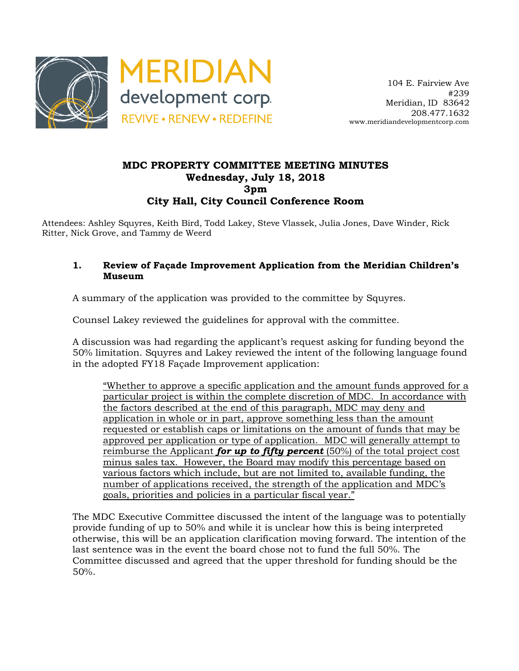

## **MDC PROPERTY COMMITTEE MEETING MINUTES Wednesday, July 18, 2018 3pm City Hall, City Council Conference Room**

Attendees: Ashley Squyres, Keith Bird, Todd Lakey, Steve Vlassek, Julia Jones, Dave Winder, Rick Ritter, Nick Grove, and Tammy de Weerd

## **1. Review of Façade Improvement Application from the Meridian Children's Museum**

A summary of the application was provided to the committee by Squyres.

Counsel Lakey reviewed the guidelines for approval with the committee.

A discussion was had regarding the applicant's request asking for funding beyond the 50% limitation. Squyres and Lakey reviewed the intent of the following language found in the adopted FY18 Façade Improvement application:

"Whether to approve a specific application and the amount funds approved for a particular project is within the complete discretion of MDC. In accordance with the factors described at the end of this paragraph, MDC may deny and application in whole or in part, approve something less than the amount requested or establish caps or limitations on the amount of funds that may be approved per application or type of application. MDC will generally attempt to reimburse the Applicant *for up to fifty percent* (50%) of the total project cost minus sales tax. However, the Board may modify this percentage based on various factors which include, but are not limited to, available funding, the number of applications received, the strength of the application and MDC's goals, priorities and policies in a particular fiscal year."

The MDC Executive Committee discussed the intent of the language was to potentially provide funding of up to 50% and while it is unclear how this is being interpreted otherwise, this will be an application clarification moving forward. The intention of the last sentence was in the event the board chose not to fund the full 50%. The Committee discussed and agreed that the upper threshold for funding should be the 50%.